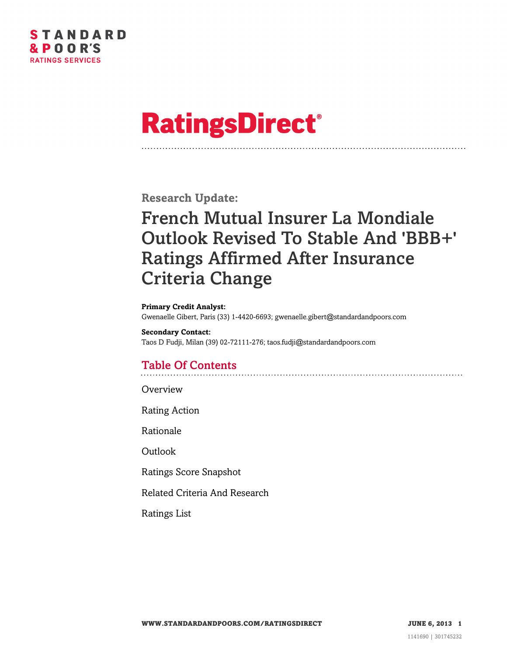

# **RatingsDirect®**

**Research Update:**

## French Mutual Insurer La Mondiale Outlook Revised To Stable And 'BBB+' Ratings Affirmed After Insurance Criteria Change

#### **Primary Credit Analyst:**

Gwenaelle Gibert, Paris (33) 1-4420-6693; gwenaelle.gibert@standardandpoors.com

**Secondary Contact:** Taos D Fudji, Milan (39) 02-72111-276; taos.fudji@standardandpoors.com

### Table Of Contents

**[Overview](#page-1-0)** 

[Rating Action](#page-1-1)

[Rationale](#page-1-2)

[Outlook](#page-3-0)

[Ratings Score Snapshot](#page-3-1)

[Related Criteria And Research](#page-4-0)

[Ratings List](#page-4-1)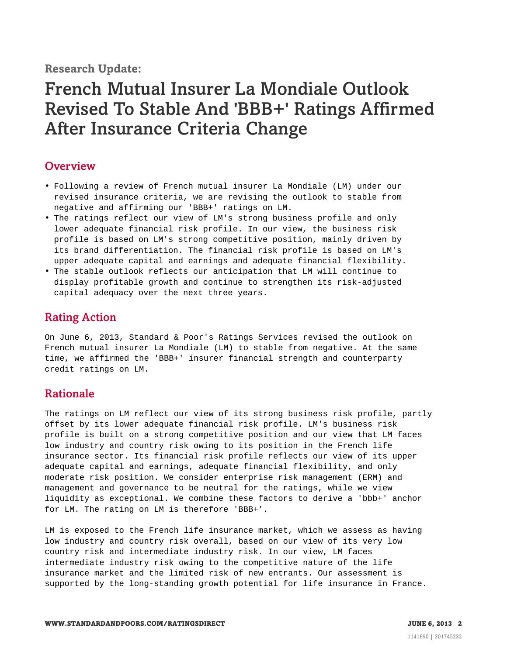**Research Update:**

### French Mutual Insurer La Mondiale Outlook Revised To Stable And 'BBB+' Ratings Affirmed After Insurance Criteria Change

#### <span id="page-1-0"></span>**Overview**

- Following a review of French mutual insurer La Mondiale (LM) under our revised insurance criteria, we are revising the outlook to stable from negative and affirming our 'BBB+' ratings on LM.
- The ratings reflect our view of LM's strong business profile and only lower adequate financial risk profile. In our view, the business risk profile is based on LM's strong competitive position, mainly driven by its brand differentiation. The financial risk profile is based on LM's upper adequate capital and earnings and adequate financial flexibility.
- The stable outlook reflects our anticipation that LM will continue to display profitable growth and continue to strengthen its risk-adjusted capital adequacy over the next three years.

#### <span id="page-1-1"></span>Rating Action

On June 6, 2013, Standard & Poor's Ratings Services revised the outlook on French mutual insurer La Mondiale (LM) to stable from negative. At the same time, we affirmed the 'BBB+' insurer financial strength and counterparty credit ratings on LM.

#### <span id="page-1-2"></span>Rationale

The ratings on LM reflect our view of its strong business risk profile, partly offset by its lower adequate financial risk profile. LM's business risk profile is built on a strong competitive position and our view that LM faces low industry and country risk owing to its position in the French life insurance sector. Its financial risk profile reflects our view of its upper adequate capital and earnings, adequate financial flexibility, and only moderate risk position. We consider enterprise risk management (ERM) and management and governance to be neutral for the ratings, while we view liquidity as exceptional. We combine these factors to derive a 'bbb+' anchor for LM. The rating on LM is therefore 'BBB+'.

LM is exposed to the French life insurance market, which we assess as having low industry and country risk overall, based on our view of its very low country risk and intermediate industry risk. In our view, LM faces intermediate industry risk owing to the competitive nature of the life insurance market and the limited risk of new entrants. Our assessment is supported by the long-standing growth potential for life insurance in France.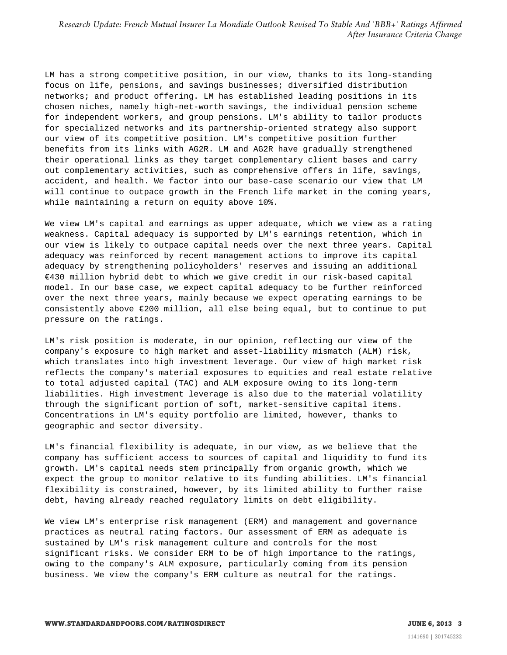LM has a strong competitive position, in our view, thanks to its long-standing focus on life, pensions, and savings businesses; diversified distribution networks; and product offering. LM has established leading positions in its chosen niches, namely high-net-worth savings, the individual pension scheme for independent workers, and group pensions. LM's ability to tailor products for specialized networks and its partnership-oriented strategy also support our view of its competitive position. LM's competitive position further benefits from its links with AG2R. LM and AG2R have gradually strengthened their operational links as they target complementary client bases and carry out complementary activities, such as comprehensive offers in life, savings, accident, and health. We factor into our base-case scenario our view that LM will continue to outpace growth in the French life market in the coming years, while maintaining a return on equity above 10%.

We view LM's capital and earnings as upper adequate, which we view as a rating weakness. Capital adequacy is supported by LM's earnings retention, which in our view is likely to outpace capital needs over the next three years. Capital adequacy was reinforced by recent management actions to improve its capital adequacy by strengthening policyholders' reserves and issuing an additional €430 million hybrid debt to which we give credit in our risk-based capital model. In our base case, we expect capital adequacy to be further reinforced over the next three years, mainly because we expect operating earnings to be consistently above €200 million, all else being equal, but to continue to put pressure on the ratings.

LM's risk position is moderate, in our opinion, reflecting our view of the company's exposure to high market and asset-liability mismatch (ALM) risk, which translates into high investment leverage. Our view of high market risk reflects the company's material exposures to equities and real estate relative to total adjusted capital (TAC) and ALM exposure owing to its long-term liabilities. High investment leverage is also due to the material volatility through the significant portion of soft, market-sensitive capital items. Concentrations in LM's equity portfolio are limited, however, thanks to geographic and sector diversity.

LM's financial flexibility is adequate, in our view, as we believe that the company has sufficient access to sources of capital and liquidity to fund its growth. LM's capital needs stem principally from organic growth, which we expect the group to monitor relative to its funding abilities. LM's financial flexibility is constrained, however, by its limited ability to further raise debt, having already reached regulatory limits on debt eligibility.

We view LM's enterprise risk management (ERM) and management and governance practices as neutral rating factors. Our assessment of ERM as adequate is sustained by LM's risk management culture and controls for the most significant risks. We consider ERM to be of high importance to the ratings, owing to the company's ALM exposure, particularly coming from its pension business. We view the company's ERM culture as neutral for the ratings.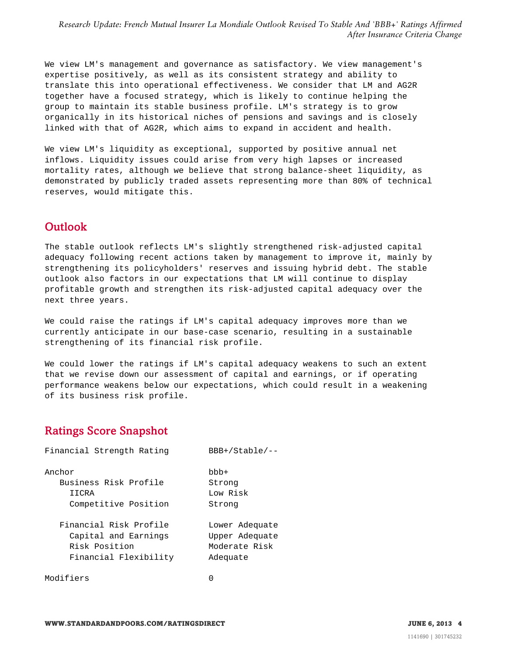We view LM's management and governance as satisfactory. We view management's expertise positively, as well as its consistent strategy and ability to translate this into operational effectiveness. We consider that LM and AG2R together have a focused strategy, which is likely to continue helping the group to maintain its stable business profile. LM's strategy is to grow organically in its historical niches of pensions and savings and is closely linked with that of AG2R, which aims to expand in accident and health.

We view LM's liquidity as exceptional, supported by positive annual net inflows. Liquidity issues could arise from very high lapses or increased mortality rates, although we believe that strong balance-sheet liquidity, as demonstrated by publicly traded assets representing more than 80% of technical reserves, would mitigate this.

#### <span id="page-3-0"></span>Outlook

The stable outlook reflects LM's slightly strengthened risk-adjusted capital adequacy following recent actions taken by management to improve it, mainly by strengthening its policyholders' reserves and issuing hybrid debt. The stable outlook also factors in our expectations that LM will continue to display profitable growth and strengthen its risk-adjusted capital adequacy over the next three years.

We could raise the ratings if LM's capital adequacy improves more than we currently anticipate in our base-case scenario, resulting in a sustainable strengthening of its financial risk profile.

We could lower the ratings if LM's capital adequacy weakens to such an extent that we revise down our assessment of capital and earnings, or if operating performance weakens below our expectations, which could result in a weakening of its business risk profile.

#### <span id="page-3-1"></span>Ratings Score Snapshot

| Financial Strength Rating | $BBB+ /Stable / - -$ |  |
|---------------------------|----------------------|--|
| Anchor                    | $bbb+$               |  |
| Business Risk Profile     | Strong               |  |
| IICRA                     | Low Risk             |  |
| Competitive Position      | Strong               |  |
| Financial Risk Profile    | Lower Adequate       |  |
| Capital and Earnings      | Upper Adequate       |  |
| Risk Position             | Moderate Risk        |  |
| Financial Flexibility     | Adequate             |  |
| Modifiers                 |                      |  |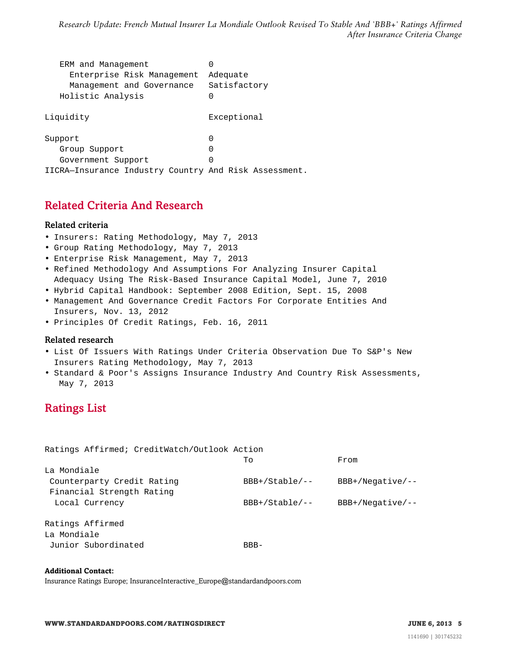| ERM and Management                                    |              |  |
|-------------------------------------------------------|--------------|--|
| Enterprise Risk Management                            | Adequate     |  |
| Management and Governance                             | Satisfactory |  |
| Holistic Analysis                                     |              |  |
| Liquidity                                             | Exceptional  |  |
| Support                                               |              |  |
| Group Support                                         |              |  |
| Government Support                                    | U            |  |
| IICRA-Insurance Industry Country And Risk Assessment. |              |  |

#### <span id="page-4-0"></span>Related Criteria And Research

#### Related criteria

- Insurers: Rating Methodology, May 7, 2013
- Group Rating Methodology, May 7, 2013
- Enterprise Risk Management, May 7, 2013
- Refined Methodology And Assumptions For Analyzing Insurer Capital Adequacy Using The Risk-Based Insurance Capital Model, June 7, 2010
- Hybrid Capital Handbook: September 2008 Edition, Sept. 15, 2008
- Management And Governance Credit Factors For Corporate Entities And Insurers, Nov. 13, 2012
- Principles Of Credit Ratings, Feb. 16, 2011

#### Related research

- List Of Issuers With Ratings Under Criteria Observation Due To S&P's New Insurers Rating Methodology, May 7, 2013
- <span id="page-4-1"></span>• Standard & Poor's Assigns Insurance Industry And Country Risk Assessments, May 7, 2013

#### Ratings List

| Ratings Affirmed; CreditWatch/Outlook Action |                     |                    |
|----------------------------------------------|---------------------|--------------------|
|                                              | To                  | From               |
| La Mondiale                                  |                     |                    |
| Counterparty Credit Rating                   | $BBB+ /Stable / --$ | $BBB+/Neqative/--$ |
| Financial Strength Rating                    |                     |                    |
| Local Currency                               | $BBB+ /Stable / --$ | $BBB+/Neqative/--$ |
|                                              |                     |                    |
| Ratings Affirmed                             |                     |                    |
| La Mondiale                                  |                     |                    |
| Junior Subordinated                          | $BBB-$              |                    |

#### **Additional Contact:**

Insurance Ratings Europe; InsuranceInteractive\_Europe@standardandpoors.com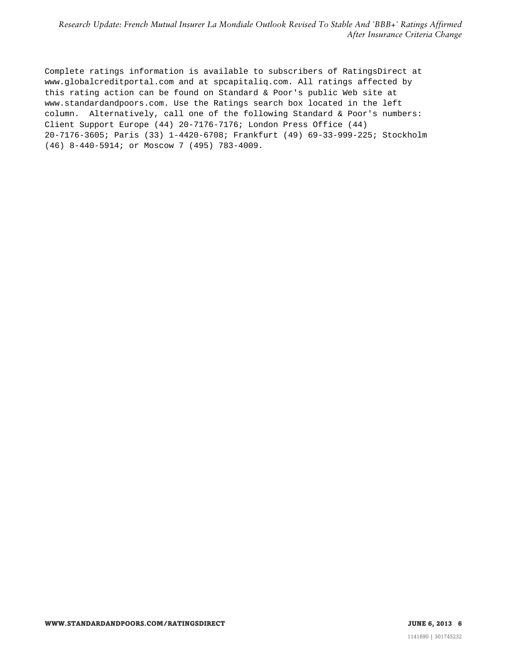Complete ratings information is available to subscribers of RatingsDirect at www.globalcreditportal.com and at spcapitaliq.com. All ratings affected by this rating action can be found on Standard & Poor's public Web site at www.standardandpoors.com. Use the Ratings search box located in the left column. Alternatively, call one of the following Standard & Poor's numbers: Client Support Europe (44) 20-7176-7176; London Press Office (44) 20-7176-3605; Paris (33) 1-4420-6708; Frankfurt (49) 69-33-999-225; Stockholm (46) 8-440-5914; or Moscow 7 (495) 783-4009.